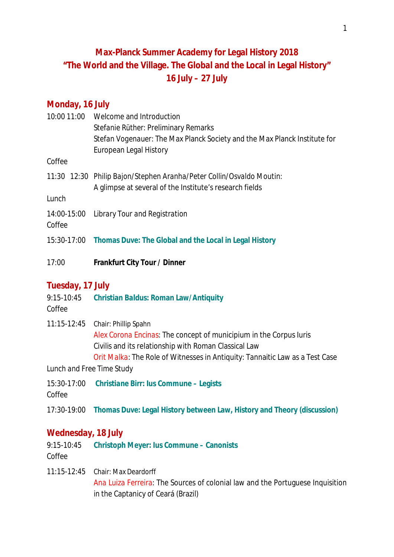# **Max-Planck Summer Academy for Legal History 2018 "The World and the Village. The Global and the Local in Legal History" 16 July – 27 July**

# **Monday, 16 July**

|                  | 10:00 11:00 Welcome and Introduction                                      |
|------------------|---------------------------------------------------------------------------|
|                  | Stefanie Rüther: Preliminary Remarks                                      |
|                  | Stefan Vogenauer: The Max Planck Society and the Max Planck Institute for |
|                  | European Legal History                                                    |
| Coffee           |                                                                           |
|                  | 11:30 12:30 Philip Bajon/Stephen Aranha/Peter Collin/Osvaldo Moutin:      |
|                  | A glimpse at several of the Institute's research fields                   |
| Lunch            |                                                                           |
|                  | 14:00-15:00 Library Tour and Registration                                 |
| Coffee           |                                                                           |
|                  | 15:30-17:00 Thomas Duve: The Global and the Local in Legal History        |
|                  |                                                                           |
| 17:00            | Frankfurt City Tour / Dinner                                              |
|                  |                                                                           |
| Tuesday, 17 July |                                                                           |

- 9:15-10:45 *Christian Baldus:* **Roman Law/Antiquity** *Coffee*
- 11:15-12:45 Chair: Phillip Spahn *Alex Corona Encinas*: The concept of municipium in the Corpus Iuris Civilis and its relationship with Roman Classical Law *Orit Malka*: The Role of Witnesses in Antiquity: Tannaitic Law as a Test Case

*Lunch and Free Time Study*

15:30-17:00 *Christiane Birr***: Ius Commune – Legists**

*Coffee*

17:30-19:00 *Thomas Duve:* **Legal History between Law, History and Theory (discussion)**

## **Wednesday, 18 July**

- 9:15-10:45 **Christoph Meyer: Ius Commune Canonists** *Coffee*
- 11:15-12:45 Chair: Max Deardorff *Ana Luiza Ferreira*: The Sources of colonial law and the Portuguese Inquisition in the Captanicy of Ceará (Brazil)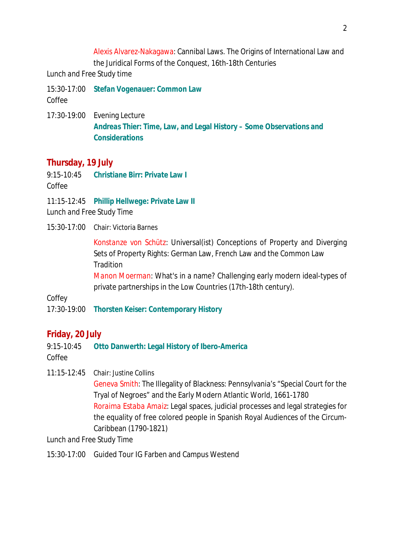Alexis Alvarez-Nakagawa: Cannibal Laws. The Origins of International Law and the Juridical Forms of the Conquest, 16th-18th Centuries

*Lunch and Free Study time*

- 15:30-17:00 *Stefan Vogenauer***: Common Law** *Coffee*
- 17:30-19:00 Evening Lecture *Andreas Thier:* **Time, Law, and Legal History – Some Observations and Considerations**

# **Thursday, 19 July**

9:15-10:45 *Christiane Birr***: Private Law I**

*Coffee*

11:15-12:45 *Phillip Hellwege***: Private Law II**

*Lunch and Free Study Time*

15:30-17:00 Chair: Victoria Barnes

*Konstanze von Schütz*: Universal(ist) Conceptions of Property and Diverging Sets of Property Rights: German Law, French Law and the Common Law **Tradition** 

*Manon Moerman*: What's in a name? Challenging early modern ideal-types of private partnerships in the Low Countries (17th-18th century).

## *Coffey*

17:30-19:00 *Thorsten Keiser:* **Contemporary History**

# **Friday, 20 July**

9:15-10:45 **Otto Danwerth: Legal History of Ibero-America** *Coffee*

11:15-12:45 Chair: Justine Collins

*Geneva Smith:* The Illegality of Blackness: Pennsylvania's "Special Court for the Tryal of Negroes" and the Early Modern Atlantic World, 1661-1780 *Roraima Estaba Amaiz:* Legal spaces, judicial processes and legal strategies for the equality of free colored people in Spanish Royal Audiences of the Circum-Caribbean (1790-1821)

*Lunch and Free Study Time*

15:30-17:00 Guided Tour IG Farben and Campus Westend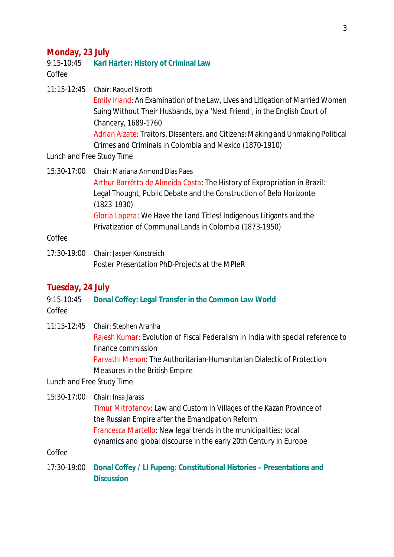#### **Monday, 23 July**

#### 9:15-10:45 *Karl Härter:* **History of Criminal Law** *Coffee*

11:15-12:45 Chair: Raquel Sirotti *Emily Irland*: An Examination of the Law, Lives and Litigation of Married Women Suing Without Their Husbands, by a 'Next Friend', in the English Court of Chancery, 1689-1760 *Adrian Alzate*: Traitors, Dissenters, and Citizens: Making and Unmaking Political Crimes and Criminals in Colombia and Mexico (1870-1910)

#### *Lunch and Free Study Time*

15:30-17:00 Chair: Mariana Armond Dias Paes *Arthur Barrêtto de Almeida Costa*: The History of Expropriation in Brazil: Legal Thought, Public Debate and the Construction of Belo Horizonte (1823-1930) *Gloria Lopera*: We Have the Land Titles! Indigenous Litigants and the Privatization of Communal Lands in Colombia (1873-1950)

#### *Coffee*

17:30-19:00 Chair: Jasper Kunstreich Poster Presentation PhD-Projects at the MPIeR

#### **Tuesday, 24 July**

9:15-10:45 *Donal Coffey***: Legal Transfer in the Common Law World** *Coffee*

11:15-12:45 Chair: Stephen Aranha *Rajesh Kumar*: Evolution of Fiscal Federalism in India with special reference to finance commission *Parvathi Menon*: The Authoritarian-Humanitarian Dialectic of Protection Measures in the British Empire

*Lunch and Free Study Time*

15:30-17:00 Chair: Insa Jarass *Timur Mitrofanov*: Law and Custom in Villages of the Kazan Province of the Russian Empire after the Emancipation Reform *Francesca Martello*: New legal trends in the municipalities: local dynamics and global discourse in the early 20th Century in Europe

#### *Coffee*

17:30-19:00 *Donal Coffey* **/** *LI Fupeng***: Constitutional Histories – Presentations and Discussion**